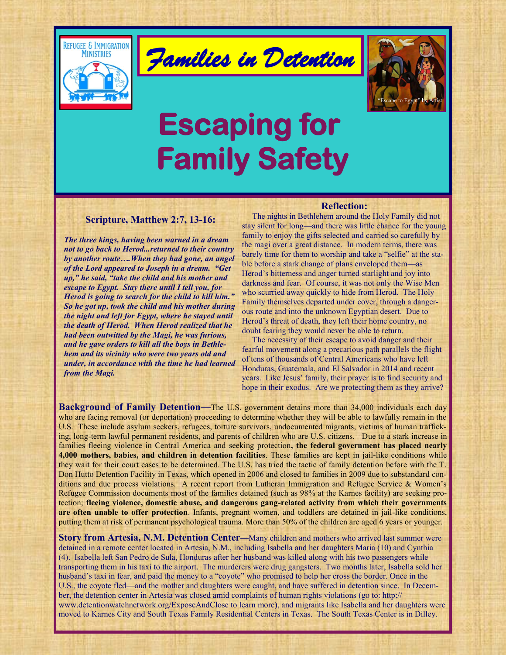

*Families in Detention* 



# **Escaping for Family Safety**

# **Scripture, Matthew 2:7, 13-16:**

*The three kings, having been warned in a dream not to go back to Herod...returned to their country by another route….When they had gone, an angel of the Lord appeared to Joseph in a dream. "Get up," he said, "take the child and his mother and escape to Egypt. Stay there until I tell you, for Herod is going to search for the child to kill him." So he got up, took the child and his mother during the night and left for Egypt, where he stayed until the death of Herod. When Herod realized that he had been outwitted by the Magi, he was furious, and he gave orders to kill all the boys in Bethlehem and its vicinity who were two years old and under, in accordance with the time he had learned from the Magi.* 

#### **Reflection:**

The nights in Bethlehem around the Holy Family did not stay silent for long—and there was little chance for the young family to enjoy the gifts selected and carried so carefully by the magi over a great distance. In modern terms, there was barely time for them to worship and take a "selfie" at the stable before a stark change of plans enveloped them—as Herod's bitterness and anger turned starlight and joy into darkness and fear. Of course, it was not only the Wise Men who scurried away quickly to hide from Herod. The Holy Family themselves departed under cover, through a dangerous route and into the unknown Egyptian desert. Due to Herod's threat of death, they left their home country, no doubt fearing they would never be able to return.

 The necessity of their escape to avoid danger and their fearful movement along a precarious path parallels the flight of tens of thousands of Central Americans who have left Honduras, Guatemala, and El Salvador in 2014 and recent years. Like Jesus' family, their prayer is to find security and hope in their exodus. Are we protecting them as they arrive?

**Background of Family Detention—**The U.S. government detains more than 34,000 individuals each day who are facing removal (or deportation) proceeding to determine whether they will be able to lawfully remain in the U.S. These include asylum seekers, refugees, torture survivors, undocumented migrants, victims of human trafficking, long-term lawful permanent residents, and parents of children who are U.S. citizens. Due to a stark increase in families fleeing violence in Central America and seeking protection**, the federal government has placed nearly 4,000 mothers, babies, and children in detention facilities**. These families are kept in jail-like conditions while they wait for their court cases to be determined. The U.S. has tried the tactic of family detention before with the T. Don Hutto Detention Facility in Texas, which opened in 2006 and closed to families in 2009 due to substandard conditions and due process violations. A recent report from Lutheran Immigration and Refugee Service & Women's Refugee Commission documents most of the families detained (such as 98% at the Karnes facility) are seeking protection; **fleeing violence, domestic abuse, and dangerous gang-related activity from which their governments are often unable to offer protection**. Infants, pregnant women, and toddlers are detained in jail-like conditions, putting them at risk of permanent psychological trauma. More than 50% of the children are aged 6 years or younger.

**Story from Artesia, N.M. Detention Center—Many children and mothers who arrived last summer were** detained in a remote center located in Artesia, N.M., including Isabella and her daughters Maria (10) and Cynthia (4). Isabella left San Pedro de Sula, Honduras after her husband was killed along with his two passengers while transporting them in his taxi to the airport. The murderers were drug gangsters. Two months later, Isabella sold her husband's taxi in fear, and paid the money to a "coyote" who promised to help her cross the border. Once in the U.S., the coyote fled—and the mother and daughters were caught, and have suffered in detention since. In December, the detention center in Artesia was closed amid complaints of human rights violations (go to: http:// www.detentionwatchnetwork.org/ExposeAndClose to learn more), and migrants like Isabella and her daughters were moved to Karnes City and South Texas Family Residential Centers in Texas. The South Texas Center is in Dilley.